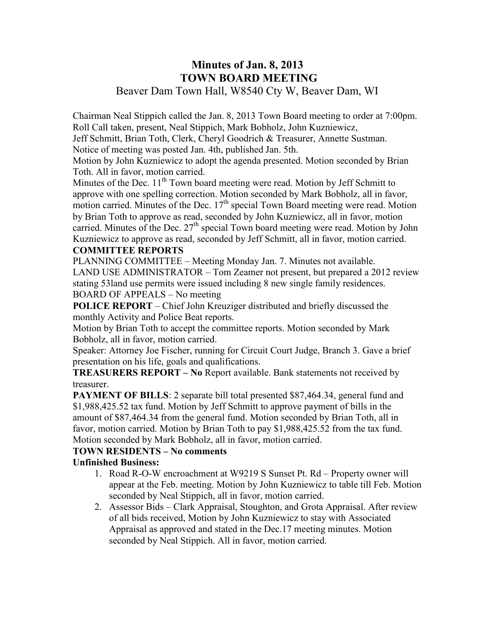# **Minutes of Jan. 8, 2013 TOWN BOARD MEETING**  Beaver Dam Town Hall, W8540 Cty W, Beaver Dam, WI

Chairman Neal Stippich called the Jan. 8, 2013 Town Board meeting to order at 7:00pm. Roll Call taken, present, Neal Stippich, Mark Bobholz, John Kuzniewicz,

Jeff Schmitt, Brian Toth, Clerk, Cheryl Goodrich & Treasurer, Annette Sustman. Notice of meeting was posted Jan. 4th, published Jan. 5th.

Motion by John Kuzniewicz to adopt the agenda presented. Motion seconded by Brian Toth. All in favor, motion carried.

Minutes of the Dec.  $11<sup>th</sup>$  Town board meeting were read. Motion by Jeff Schmitt to approve with one spelling correction. Motion seconded by Mark Bobholz, all in favor, motion carried. Minutes of the Dec.  $17<sup>th</sup>$  special Town Board meeting were read. Motion by Brian Toth to approve as read, seconded by John Kuzniewicz, all in favor, motion carried. Minutes of the Dec.  $27<sup>th</sup>$  special Town board meeting were read. Motion by John Kuzniewicz to approve as read, seconded by Jeff Schmitt, all in favor, motion carried.

## **COMMITTEE REPORTS**

PLANNING COMMITTEE – Meeting Monday Jan. 7. Minutes not available.

LAND USE ADMINISTRATOR – Tom Zeamer not present, but prepared a 2012 review stating 53land use permits were issued including 8 new single family residences. BOARD OF APPEALS – No meeting

**POLICE REPORT** – Chief John Kreuziger distributed and briefly discussed the monthly Activity and Police Beat reports.

Motion by Brian Toth to accept the committee reports. Motion seconded by Mark Bobholz, all in favor, motion carried.

Speaker: Attorney Joe Fischer, running for Circuit Court Judge, Branch 3. Gave a brief presentation on his life, goals and qualifications.

**TREASURERS REPORT – No** Report available. Bank statements not received by treasurer.

**PAYMENT OF BILLS**: 2 separate bill total presented \$87,464.34, general fund and \$1,988,425.52 tax fund. Motion by Jeff Schmitt to approve payment of bills in the amount of \$87,464.34 from the general fund. Motion seconded by Brian Toth, all in favor, motion carried. Motion by Brian Toth to pay \$1,988,425.52 from the tax fund. Motion seconded by Mark Bobholz, all in favor, motion carried.

### **TOWN RESIDENTS – No comments**

## **Unfinished Business:**

- 1. Road R-O-W encroachment at W9219 S Sunset Pt. Rd Property owner will appear at the Feb. meeting. Motion by John Kuzniewicz to table till Feb. Motion seconded by Neal Stippich, all in favor, motion carried.
- 2. Assessor Bids Clark Appraisal, Stoughton, and Grota Appraisal. After review of all bids received, Motion by John Kuzniewicz to stay with Associated Appraisal as approved and stated in the Dec.17 meeting minutes. Motion seconded by Neal Stippich. All in favor, motion carried.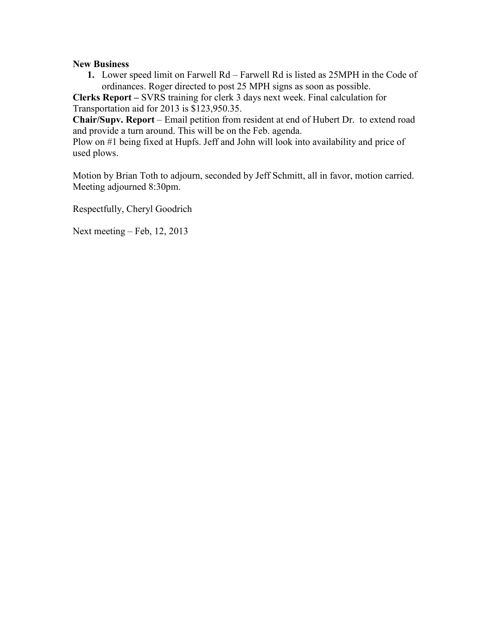### **New Business**

**1.** Lower speed limit on Farwell Rd – Farwell Rd is listed as 25MPH in the Code of ordinances. Roger directed to post 25 MPH signs as soon as possible.

**Clerks Report –** SVRS training for clerk 3 days next week. Final calculation for Transportation aid for 2013 is \$123,950.35.

**Chair/Supv. Report** – Email petition from resident at end of Hubert Dr. to extend road and provide a turn around. This will be on the Feb. agenda.

Plow on #1 being fixed at Hupfs. Jeff and John will look into availability and price of used plows.

Motion by Brian Toth to adjourn, seconded by Jeff Schmitt, all in favor, motion carried. Meeting adjourned 8:30pm.

Respectfully, Cheryl Goodrich

Next meeting – Feb, 12, 2013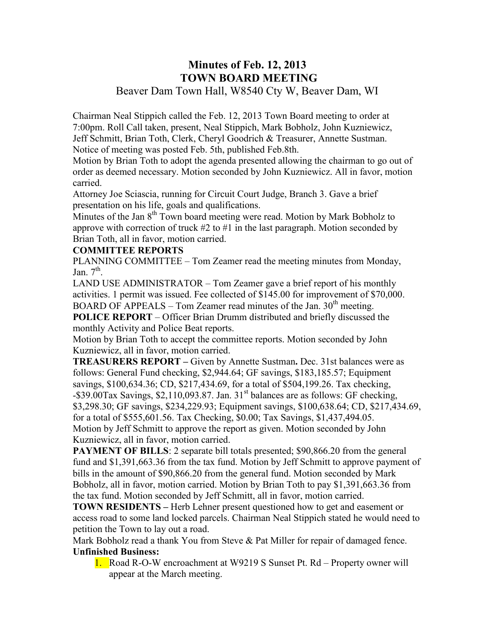# **Minutes of Feb. 12, 2013 TOWN BOARD MEETING**  Beaver Dam Town Hall, W8540 Cty W, Beaver Dam, WI

Chairman Neal Stippich called the Feb. 12, 2013 Town Board meeting to order at 7:00pm. Roll Call taken, present, Neal Stippich, Mark Bobholz, John Kuzniewicz, Jeff Schmitt, Brian Toth, Clerk, Cheryl Goodrich & Treasurer, Annette Sustman. Notice of meeting was posted Feb. 5th, published Feb.8th.

Motion by Brian Toth to adopt the agenda presented allowing the chairman to go out of order as deemed necessary. Motion seconded by John Kuzniewicz. All in favor, motion carried.

Attorney Joe Sciascia, running for Circuit Court Judge, Branch 3. Gave a brief presentation on his life, goals and qualifications.

Minutes of the Jan  $8<sup>th</sup>$  Town board meeting were read. Motion by Mark Bobholz to approve with correction of truck #2 to #1 in the last paragraph. Motion seconded by Brian Toth, all in favor, motion carried.

### **COMMITTEE REPORTS**

PLANNING COMMITTEE – Tom Zeamer read the meeting minutes from Monday, Jan.  $7<sup>th</sup>$ .

LAND USE ADMINISTRATOR – Tom Zeamer gave a brief report of his monthly activities. 1 permit was issued. Fee collected of \$145.00 for improvement of \$70,000. BOARD OF APPEALS – Tom Zeamer read minutes of the Jan.  $30<sup>th</sup>$  meeting.

**POLICE REPORT** – Officer Brian Drumm distributed and briefly discussed the monthly Activity and Police Beat reports.

Motion by Brian Toth to accept the committee reports. Motion seconded by John Kuzniewicz, all in favor, motion carried.

**TREASURERS REPORT –** Given by Annette Sustman**.** Dec. 31st balances were as follows: General Fund checking, \$2,944.64; GF savings, \$183,185.57; Equipment savings, \$100,634.36; CD, \$217,434.69, for a total of \$504,199.26. Tax checking,  $-$ \$39.00Tax Savings, \$2,110,093.87. Jan. 31<sup>st</sup> balances are as follows: GF checking, \$3,298.30; GF savings, \$234,229.93; Equipment savings, \$100,638.64; CD, \$217,434.69, for a total of \$555,601.56. Tax Checking, \$0.00; Tax Savings, \$1,437,494.05. Motion by Jeff Schmitt to approve the report as given. Motion seconded by John Kuzniewicz, all in favor, motion carried.

**PAYMENT OF BILLS**: 2 separate bill totals presented; \$90,866.20 from the general fund and \$1,391,663.36 from the tax fund. Motion by Jeff Schmitt to approve payment of bills in the amount of \$90,866.20 from the general fund. Motion seconded by Mark Bobholz, all in favor, motion carried. Motion by Brian Toth to pay \$1,391,663.36 from the tax fund. Motion seconded by Jeff Schmitt, all in favor, motion carried.

**TOWN RESIDENTS –** Herb Lehner present questioned how to get and easement or access road to some land locked parcels. Chairman Neal Stippich stated he would need to petition the Town to lay out a road.

Mark Bobholz read a thank You from Steve & Pat Miller for repair of damaged fence. **Unfinished Business:** 

1. Road R-O-W encroachment at W9219 S Sunset Pt. Rd – Property owner will appear at the March meeting.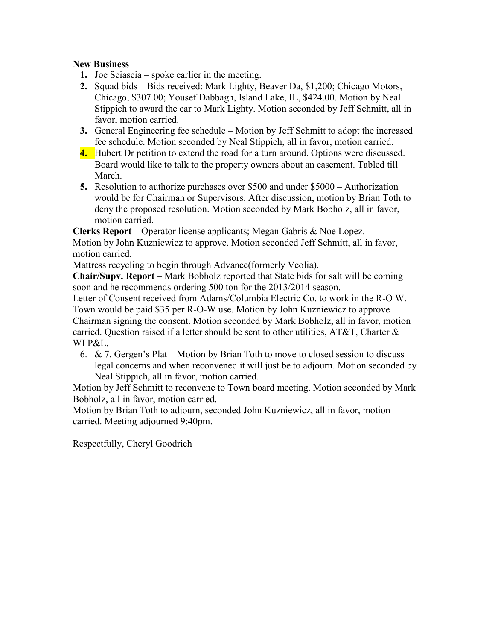### **New Business**

- **1.** Joe Sciascia spoke earlier in the meeting.
- **2.** Squad bids Bids received: Mark Lighty, Beaver Da, \$1,200; Chicago Motors, Chicago, \$307.00; Yousef Dabbagh, Island Lake, IL, \$424.00. Motion by Neal Stippich to award the car to Mark Lighty. Motion seconded by Jeff Schmitt, all in favor, motion carried.
- **3.** General Engineering fee schedule Motion by Jeff Schmitt to adopt the increased fee schedule. Motion seconded by Neal Stippich, all in favor, motion carried.
- **4.** Hubert Dr petition to extend the road for a turn around. Options were discussed. Board would like to talk to the property owners about an easement. Tabled till March.
- **5.** Resolution to authorize purchases over \$500 and under \$5000 Authorization would be for Chairman or Supervisors. After discussion, motion by Brian Toth to deny the proposed resolution. Motion seconded by Mark Bobholz, all in favor, motion carried.

**Clerks Report –** Operator license applicants; Megan Gabris & Noe Lopez. Motion by John Kuzniewicz to approve. Motion seconded Jeff Schmitt, all in favor, motion carried.

Mattress recycling to begin through Advance(formerly Veolia).

**Chair/Supv. Report** – Mark Bobholz reported that State bids for salt will be coming soon and he recommends ordering 500 ton for the 2013/2014 season.

Letter of Consent received from Adams/Columbia Electric Co. to work in the R-O W. Town would be paid \$35 per R-O-W use. Motion by John Kuzniewicz to approve Chairman signing the consent. Motion seconded by Mark Bobholz, all in favor, motion carried. Question raised if a letter should be sent to other utilities,  $AT&T$ , Charter  $&$ WI P&L.

6. & 7. Gergen's Plat – Motion by Brian Toth to move to closed session to discuss legal concerns and when reconvened it will just be to adjourn. Motion seconded by Neal Stippich, all in favor, motion carried.

Motion by Jeff Schmitt to reconvene to Town board meeting. Motion seconded by Mark Bobholz, all in favor, motion carried.

Motion by Brian Toth to adjourn, seconded John Kuzniewicz, all in favor, motion carried. Meeting adjourned 9:40pm.

Respectfully, Cheryl Goodrich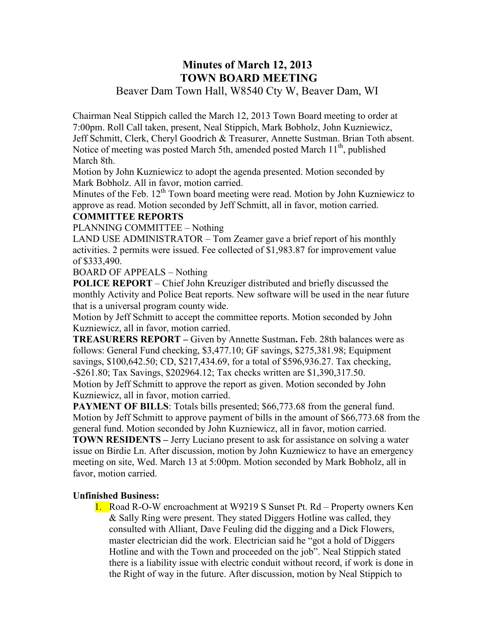# **Minutes of March 12, 2013 TOWN BOARD MEETING**

# Beaver Dam Town Hall, W8540 Cty W, Beaver Dam, WI

Chairman Neal Stippich called the March 12, 2013 Town Board meeting to order at 7:00pm. Roll Call taken, present, Neal Stippich, Mark Bobholz, John Kuzniewicz, Jeff Schmitt, Clerk, Cheryl Goodrich & Treasurer, Annette Sustman. Brian Toth absent. Notice of meeting was posted March 5th, amended posted March 11<sup>th</sup>, published March 8th.

Motion by John Kuzniewicz to adopt the agenda presented. Motion seconded by Mark Bobholz. All in favor, motion carried.

Minutes of the Feb.  $12<sup>th</sup>$  Town board meeting were read. Motion by John Kuzniewicz to approve as read. Motion seconded by Jeff Schmitt, all in favor, motion carried.

### **COMMITTEE REPORTS**

PLANNING COMMITTEE – Nothing

LAND USE ADMINISTRATOR – Tom Zeamer gave a brief report of his monthly activities. 2 permits were issued. Fee collected of \$1,983.87 for improvement value of \$333,490.

BOARD OF APPEALS – Nothing

**POLICE REPORT** – Chief John Kreuziger distributed and briefly discussed the monthly Activity and Police Beat reports. New software will be used in the near future that is a universal program county wide.

Motion by Jeff Schmitt to accept the committee reports. Motion seconded by John Kuzniewicz, all in favor, motion carried.

**TREASURERS REPORT –** Given by Annette Sustman**.** Feb. 28th balances were as follows: General Fund checking, \$3,477.10; GF savings, \$275,381.98; Equipment savings, \$100,642.50; CD, \$217,434.69, for a total of \$596,936.27. Tax checking, -\$261.80; Tax Savings, \$202964.12; Tax checks written are \$1,390,317.50.

Motion by Jeff Schmitt to approve the report as given. Motion seconded by John Kuzniewicz, all in favor, motion carried.

**PAYMENT OF BILLS:** Totals bills presented; \$66,773.68 from the general fund. Motion by Jeff Schmitt to approve payment of bills in the amount of \$66,773.68 from the general fund. Motion seconded by John Kuzniewicz, all in favor, motion carried.

**TOWN RESIDENTS –** Jerry Luciano present to ask for assistance on solving a water issue on Birdie Ln. After discussion, motion by John Kuzniewicz to have an emergency meeting on site, Wed. March 13 at 5:00pm. Motion seconded by Mark Bobholz, all in favor, motion carried.

### **Unfinished Business:**

1. Road R-O-W encroachment at W9219 S Sunset Pt. Rd – Property owners Ken & Sally Ring were present. They stated Diggers Hotline was called, they consulted with Alliant, Dave Feuling did the digging and a Dick Flowers, master electrician did the work. Electrician said he "got a hold of Diggers Hotline and with the Town and proceeded on the job". Neal Stippich stated there is a liability issue with electric conduit without record, if work is done in the Right of way in the future. After discussion, motion by Neal Stippich to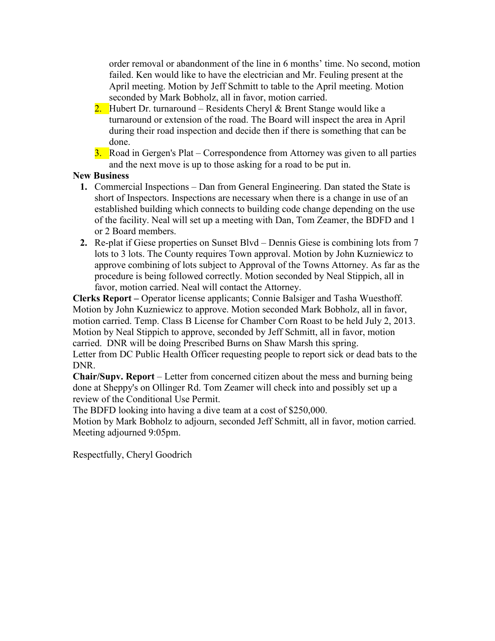order removal or abandonment of the line in 6 months' time. No second, motion failed. Ken would like to have the electrician and Mr. Feuling present at the April meeting. Motion by Jeff Schmitt to table to the April meeting. Motion seconded by Mark Bobholz, all in favor, motion carried.

- 2. Hubert Dr. turnaround Residents Cheryl & Brent Stange would like a turnaround or extension of the road. The Board will inspect the area in April during their road inspection and decide then if there is something that can be done.
- 3. Road in Gergen's Plat Correspondence from Attorney was given to all parties and the next move is up to those asking for a road to be put in.

### **New Business**

- **1.** Commercial Inspections Dan from General Engineering. Dan stated the State is short of Inspectors. Inspections are necessary when there is a change in use of an established building which connects to building code change depending on the use of the facility. Neal will set up a meeting with Dan, Tom Zeamer, the BDFD and 1 or 2 Board members.
- **2.** Re-plat if Giese properties on Sunset Blvd Dennis Giese is combining lots from 7 lots to 3 lots. The County requires Town approval. Motion by John Kuzniewicz to approve combining of lots subject to Approval of the Towns Attorney. As far as the procedure is being followed correctly. Motion seconded by Neal Stippich, all in favor, motion carried. Neal will contact the Attorney.

**Clerks Report –** Operator license applicants; Connie Balsiger and Tasha Wuesthoff. Motion by John Kuzniewicz to approve. Motion seconded Mark Bobholz, all in favor, motion carried. Temp. Class B License for Chamber Corn Roast to be held July 2, 2013. Motion by Neal Stippich to approve, seconded by Jeff Schmitt, all in favor, motion carried. DNR will be doing Prescribed Burns on Shaw Marsh this spring.

Letter from DC Public Health Officer requesting people to report sick or dead bats to the DNR.

**Chair/Supv. Report** – Letter from concerned citizen about the mess and burning being done at Sheppy's on Ollinger Rd. Tom Zeamer will check into and possibly set up a review of the Conditional Use Permit.

The BDFD looking into having a dive team at a cost of \$250,000.

Motion by Mark Bobholz to adjourn, seconded Jeff Schmitt, all in favor, motion carried. Meeting adjourned 9:05pm.

Respectfully, Cheryl Goodrich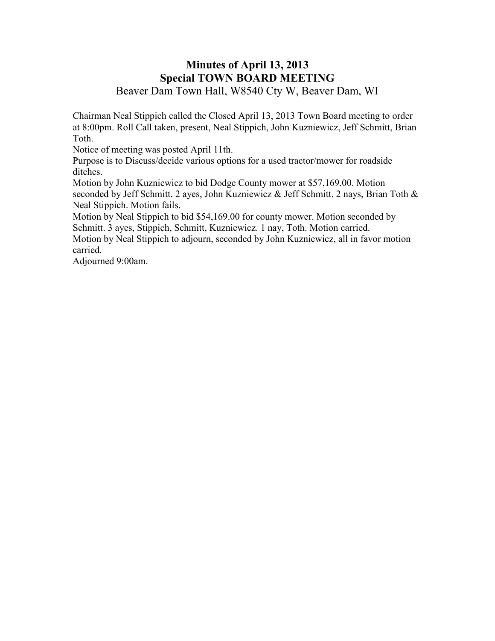## **Minutes of April 13, 2013 Special TOWN BOARD MEETING**  Beaver Dam Town Hall, W8540 Cty W, Beaver Dam, WI

Chairman Neal Stippich called the Closed April 13, 2013 Town Board meeting to order at 8:00pm. Roll Call taken, present, Neal Stippich, John Kuzniewicz, Jeff Schmitt, Brian Toth.

Notice of meeting was posted April 11th.

Purpose is to Discuss/decide various options for a used tractor/mower for roadside ditches.

Motion by John Kuzniewicz to bid Dodge County mower at \$57,169.00. Motion seconded by Jeff Schmitt. 2 ayes, John Kuzniewicz & Jeff Schmitt. 2 nays, Brian Toth & Neal Stippich. Motion fails.

Motion by Neal Stippich to bid \$54,169.00 for county mower. Motion seconded by Schmitt. 3 ayes, Stippich, Schmitt, Kuzniewicz. 1 nay, Toth. Motion carried.

Motion by Neal Stippich to adjourn, seconded by John Kuzniewicz, all in favor motion carried.

Adjourned 9:00am.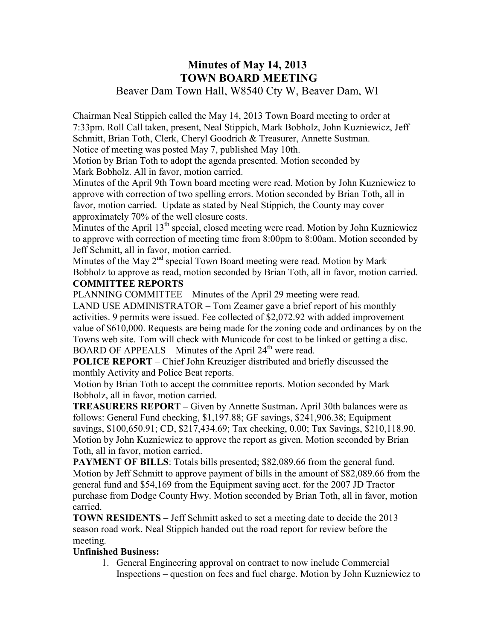# **Minutes of May 14, 2013 TOWN BOARD MEETING**  Beaver Dam Town Hall, W8540 Cty W, Beaver Dam, WI

Chairman Neal Stippich called the May 14, 2013 Town Board meeting to order at 7:33pm. Roll Call taken, present, Neal Stippich, Mark Bobholz, John Kuzniewicz, Jeff Schmitt, Brian Toth, Clerk, Cheryl Goodrich & Treasurer, Annette Sustman. Notice of meeting was posted May 7, published May 10th.

Motion by Brian Toth to adopt the agenda presented. Motion seconded by Mark Bobholz. All in favor, motion carried.

Minutes of the April 9th Town board meeting were read. Motion by John Kuzniewicz to approve with correction of two spelling errors. Motion seconded by Brian Toth, all in favor, motion carried. Update as stated by Neal Stippich, the County may cover approximately 70% of the well closure costs.

Minutes of the April  $13<sup>th</sup>$  special, closed meeting were read. Motion by John Kuzniewicz to approve with correction of meeting time from 8:00pm to 8:00am. Motion seconded by Jeff Schmitt, all in favor, motion carried.

Minutes of the May  $2<sup>nd</sup>$  special Town Board meeting were read. Motion by Mark Bobholz to approve as read, motion seconded by Brian Toth, all in favor, motion carried. **COMMITTEE REPORTS**

PLANNING COMMITTEE – Minutes of the April 29 meeting were read.

LAND USE ADMINISTRATOR – Tom Zeamer gave a brief report of his monthly activities. 9 permits were issued. Fee collected of \$2,072.92 with added improvement value of \$610,000. Requests are being made for the zoning code and ordinances by on the Towns web site. Tom will check with Municode for cost to be linked or getting a disc. BOARD OF APPEALS – Minutes of the April  $24<sup>th</sup>$  were read.

**POLICE REPORT** – Chief John Kreuziger distributed and briefly discussed the monthly Activity and Police Beat reports.

Motion by Brian Toth to accept the committee reports. Motion seconded by Mark Bobholz, all in favor, motion carried.

**TREASURERS REPORT –** Given by Annette Sustman**.** April 30th balances were as follows: General Fund checking, \$1,197.88; GF savings, \$241,906.38; Equipment savings, \$100,650.91; CD, \$217,434.69; Tax checking, 0.00; Tax Savings, \$210,118.90. Motion by John Kuzniewicz to approve the report as given. Motion seconded by Brian Toth, all in favor, motion carried.

**PAYMENT OF BILLS:** Totals bills presented; \$82,089.66 from the general fund. Motion by Jeff Schmitt to approve payment of bills in the amount of \$82,089.66 from the general fund and \$54,169 from the Equipment saving acct. for the 2007 JD Tractor purchase from Dodge County Hwy. Motion seconded by Brian Toth, all in favor, motion carried.

**TOWN RESIDENTS –** Jeff Schmitt asked to set a meeting date to decide the 2013 season road work. Neal Stippich handed out the road report for review before the meeting.

## **Unfinished Business:**

1. General Engineering approval on contract to now include Commercial Inspections – question on fees and fuel charge. Motion by John Kuzniewicz to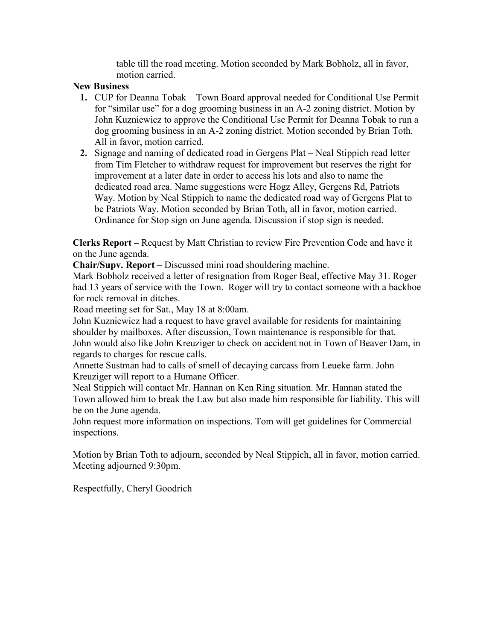table till the road meeting. Motion seconded by Mark Bobholz, all in favor, motion carried.

### **New Business**

- **1.** CUP for Deanna Tobak Town Board approval needed for Conditional Use Permit for "similar use" for a dog grooming business in an A-2 zoning district. Motion by John Kuzniewicz to approve the Conditional Use Permit for Deanna Tobak to run a dog grooming business in an A-2 zoning district. Motion seconded by Brian Toth. All in favor, motion carried.
- **2.** Signage and naming of dedicated road in Gergens Plat Neal Stippich read letter from Tim Fletcher to withdraw request for improvement but reserves the right for improvement at a later date in order to access his lots and also to name the dedicated road area. Name suggestions were Hogz Alley, Gergens Rd, Patriots Way. Motion by Neal Stippich to name the dedicated road way of Gergens Plat to be Patriots Way. Motion seconded by Brian Toth, all in favor, motion carried. Ordinance for Stop sign on June agenda. Discussion if stop sign is needed.

**Clerks Report –** Request by Matt Christian to review Fire Prevention Code and have it on the June agenda.

**Chair/Supv. Report** – Discussed mini road shouldering machine.

Mark Bobholz received a letter of resignation from Roger Beal, effective May 31. Roger had 13 years of service with the Town. Roger will try to contact someone with a backhoe for rock removal in ditches.

Road meeting set for Sat., May 18 at 8:00am.

John Kuzniewicz had a request to have gravel available for residents for maintaining shoulder by mailboxes. After discussion, Town maintenance is responsible for that. John would also like John Kreuziger to check on accident not in Town of Beaver Dam, in regards to charges for rescue calls.

Annette Sustman had to calls of smell of decaying carcass from Leueke farm. John Kreuziger will report to a Humane Officer.

Neal Stippich will contact Mr. Hannan on Ken Ring situation. Mr. Hannan stated the Town allowed him to break the Law but also made him responsible for liability. This will be on the June agenda.

John request more information on inspections. Tom will get guidelines for Commercial inspections.

Motion by Brian Toth to adjourn, seconded by Neal Stippich, all in favor, motion carried. Meeting adjourned 9:30pm.

Respectfully, Cheryl Goodrich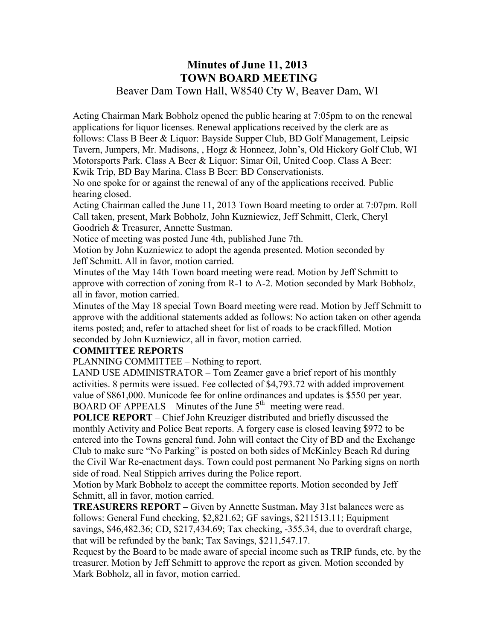# **Minutes of June 11, 2013 TOWN BOARD MEETING**  Beaver Dam Town Hall, W8540 Cty W, Beaver Dam, WI

Acting Chairman Mark Bobholz opened the public hearing at 7:05pm to on the renewal applications for liquor licenses. Renewal applications received by the clerk are as follows: Class B Beer & Liquor: Bayside Supper Club, BD Golf Management, Leipsic Tavern, Jumpers, Mr. Madisons, , Hogz & Honneez, John's, Old Hickory Golf Club, WI Motorsports Park. Class A Beer & Liquor: Simar Oil, United Coop. Class A Beer: Kwik Trip, BD Bay Marina. Class B Beer: BD Conservationists.

No one spoke for or against the renewal of any of the applications received. Public hearing closed.

Acting Chairman called the June 11, 2013 Town Board meeting to order at 7:07pm. Roll Call taken, present, Mark Bobholz, John Kuzniewicz, Jeff Schmitt, Clerk, Cheryl Goodrich & Treasurer, Annette Sustman.

Notice of meeting was posted June 4th, published June 7th.

Motion by John Kuzniewicz to adopt the agenda presented. Motion seconded by Jeff Schmitt. All in favor, motion carried.

Minutes of the May 14th Town board meeting were read. Motion by Jeff Schmitt to approve with correction of zoning from R-1 to A-2. Motion seconded by Mark Bobholz, all in favor, motion carried.

Minutes of the May 18 special Town Board meeting were read. Motion by Jeff Schmitt to approve with the additional statements added as follows: No action taken on other agenda items posted; and, refer to attached sheet for list of roads to be crackfilled. Motion seconded by John Kuzniewicz, all in favor, motion carried.

### **COMMITTEE REPORTS**

PLANNING COMMITTEE – Nothing to report.

LAND USE ADMINISTRATOR – Tom Zeamer gave a brief report of his monthly activities. 8 permits were issued. Fee collected of \$4,793.72 with added improvement value of \$861,000. Municode fee for online ordinances and updates is \$550 per year. BOARD OF APPEALS – Minutes of the June  $5<sup>th</sup>$  meeting were read.

**POLICE REPORT** – Chief John Kreuziger distributed and briefly discussed the monthly Activity and Police Beat reports. A forgery case is closed leaving \$972 to be entered into the Towns general fund. John will contact the City of BD and the Exchange Club to make sure "No Parking" is posted on both sides of McKinley Beach Rd during the Civil War Re-enactment days. Town could post permanent No Parking signs on north side of road. Neal Stippich arrives during the Police report.

Motion by Mark Bobholz to accept the committee reports. Motion seconded by Jeff Schmitt, all in favor, motion carried.

**TREASURERS REPORT –** Given by Annette Sustman**.** May 31st balances were as follows: General Fund checking, \$2,821.62; GF savings, \$211513.11; Equipment savings, \$46,482.36; CD, \$217,434.69; Tax checking, -355.34, due to overdraft charge, that will be refunded by the bank; Tax Savings, \$211,547.17.

Request by the Board to be made aware of special income such as TRIP funds, etc. by the treasurer. Motion by Jeff Schmitt to approve the report as given. Motion seconded by Mark Bobholz, all in favor, motion carried.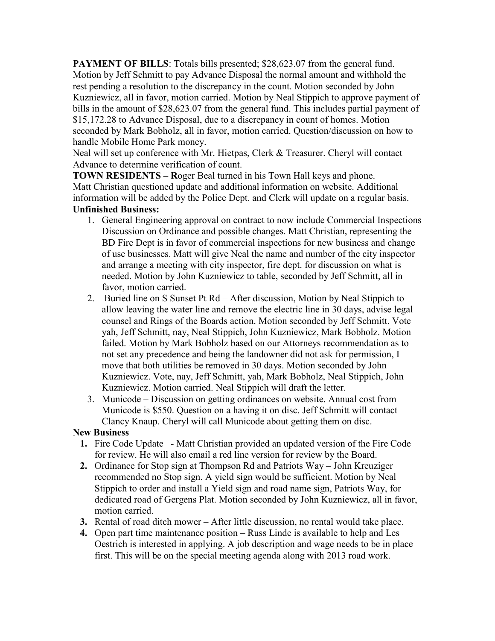**PAYMENT OF BILLS:** Totals bills presented: \$28,623.07 from the general fund. Motion by Jeff Schmitt to pay Advance Disposal the normal amount and withhold the rest pending a resolution to the discrepancy in the count. Motion seconded by John Kuzniewicz, all in favor, motion carried. Motion by Neal Stippich to approve payment of bills in the amount of \$28,623.07 from the general fund. This includes partial payment of \$15,172.28 to Advance Disposal, due to a discrepancy in count of homes. Motion seconded by Mark Bobholz, all in favor, motion carried. Question/discussion on how to handle Mobile Home Park money.

Neal will set up conference with Mr. Hietpas, Clerk & Treasurer. Cheryl will contact Advance to determine verification of count.

**TOWN RESIDENTS – R**oger Beal turned in his Town Hall keys and phone. Matt Christian questioned update and additional information on website. Additional information will be added by the Police Dept. and Clerk will update on a regular basis. **Unfinished Business:** 

- 1. General Engineering approval on contract to now include Commercial Inspections Discussion on Ordinance and possible changes. Matt Christian, representing the BD Fire Dept is in favor of commercial inspections for new business and change of use businesses. Matt will give Neal the name and number of the city inspector and arrange a meeting with city inspector, fire dept. for discussion on what is needed. Motion by John Kuzniewicz to table, seconded by Jeff Schmitt, all in favor, motion carried.
- 2. Buried line on S Sunset Pt Rd After discussion, Motion by Neal Stippich to allow leaving the water line and remove the electric line in 30 days, advise legal counsel and Rings of the Boards action. Motion seconded by Jeff Schmitt. Vote yah, Jeff Schmitt, nay, Neal Stippich, John Kuzniewicz, Mark Bobholz. Motion failed. Motion by Mark Bobholz based on our Attorneys recommendation as to not set any precedence and being the landowner did not ask for permission, I move that both utilities be removed in 30 days. Motion seconded by John Kuzniewicz. Vote, nay, Jeff Schmitt, yah, Mark Bobholz, Neal Stippich, John Kuzniewicz. Motion carried. Neal Stippich will draft the letter.
- 3. Municode Discussion on getting ordinances on website. Annual cost from Municode is \$550. Question on a having it on disc. Jeff Schmitt will contact Clancy Knaup. Cheryl will call Municode about getting them on disc.

### **New Business**

- **1.** Fire Code Update Matt Christian provided an updated version of the Fire Code for review. He will also email a red line version for review by the Board.
- **2.** Ordinance for Stop sign at Thompson Rd and Patriots Way John Kreuziger recommended no Stop sign. A yield sign would be sufficient. Motion by Neal Stippich to order and install a Yield sign and road name sign, Patriots Way, for dedicated road of Gergens Plat. Motion seconded by John Kuzniewicz, all in favor, motion carried.
- **3.** Rental of road ditch mower After little discussion, no rental would take place.
- **4.** Open part time maintenance position Russ Linde is available to help and Les Oestrich is interested in applying. A job description and wage needs to be in place first. This will be on the special meeting agenda along with 2013 road work.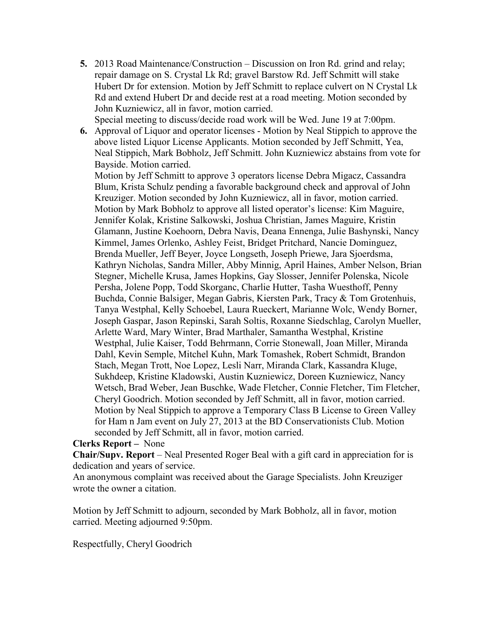- **5.** 2013 Road Maintenance/Construction Discussion on Iron Rd. grind and relay; repair damage on S. Crystal Lk Rd; gravel Barstow Rd. Jeff Schmitt will stake Hubert Dr for extension. Motion by Jeff Schmitt to replace culvert on N Crystal Lk Rd and extend Hubert Dr and decide rest at a road meeting. Motion seconded by John Kuzniewicz, all in favor, motion carried.
- Special meeting to discuss/decide road work will be Wed. June 19 at 7:00pm. **6.** Approval of Liquor and operator licenses - Motion by Neal Stippich to approve the above listed Liquor License Applicants. Motion seconded by Jeff Schmitt, Yea, Neal Stippich, Mark Bobholz, Jeff Schmitt. John Kuzniewicz abstains from vote for Bayside. Motion carried.

Motion by Jeff Schmitt to approve 3 operators license Debra Migacz, Cassandra Blum, Krista Schulz pending a favorable background check and approval of John Kreuziger. Motion seconded by John Kuzniewicz, all in favor, motion carried. Motion by Mark Bobholz to approve all listed operator's license: Kim Maguire, Jennifer Kolak, Kristine Salkowski, Joshua Christian, James Maguire, Kristin Glamann, Justine Koehoorn, Debra Navis, Deana Ennenga, Julie Bashynski, Nancy Kimmel, James Orlenko, Ashley Feist, Bridget Pritchard, Nancie Dominguez, Brenda Mueller, Jeff Beyer, Joyce Longseth, Joseph Priewe, Jara Sjoerdsma, Kathryn Nicholas, Sandra Miller, Abby Minnig, April Haines, Amber Nelson, Brian Stegner, Michelle Krusa, James Hopkins, Gay Slosser, Jennifer Polenska, Nicole Persha, Jolene Popp, Todd Skorganc, Charlie Hutter, Tasha Wuesthoff, Penny Buchda, Connie Balsiger, Megan Gabris, Kiersten Park, Tracy & Tom Grotenhuis, Tanya Westphal, Kelly Schoebel, Laura Rueckert, Marianne Wolc, Wendy Borner, Joseph Gaspar, Jason Repinski, Sarah Soltis, Roxanne Siedschlag, Carolyn Mueller, Arlette Ward, Mary Winter, Brad Marthaler, Samantha Westphal, Kristine Westphal, Julie Kaiser, Todd Behrmann, Corrie Stonewall, Joan Miller, Miranda Dahl, Kevin Semple, Mitchel Kuhn, Mark Tomashek, Robert Schmidt, Brandon Stach, Megan Trott, Noe Lopez, Lesli Narr, Miranda Clark, Kassandra Kluge, Sukhdeep, Kristine Kladowski, Austin Kuzniewicz, Doreen Kuzniewicz, Nancy Wetsch, Brad Weber, Jean Buschke, Wade Fletcher, Connie Fletcher, Tim Fletcher, Cheryl Goodrich. Motion seconded by Jeff Schmitt, all in favor, motion carried. Motion by Neal Stippich to approve a Temporary Class B License to Green Valley for Ham n Jam event on July 27, 2013 at the BD Conservationists Club. Motion seconded by Jeff Schmitt, all in favor, motion carried.

#### **Clerks Report –** None

**Chair/Supv. Report** – Neal Presented Roger Beal with a gift card in appreciation for is dedication and years of service.

An anonymous complaint was received about the Garage Specialists. John Kreuziger wrote the owner a citation.

Motion by Jeff Schmitt to adjourn, seconded by Mark Bobholz, all in favor, motion carried. Meeting adjourned 9:50pm.

Respectfully, Cheryl Goodrich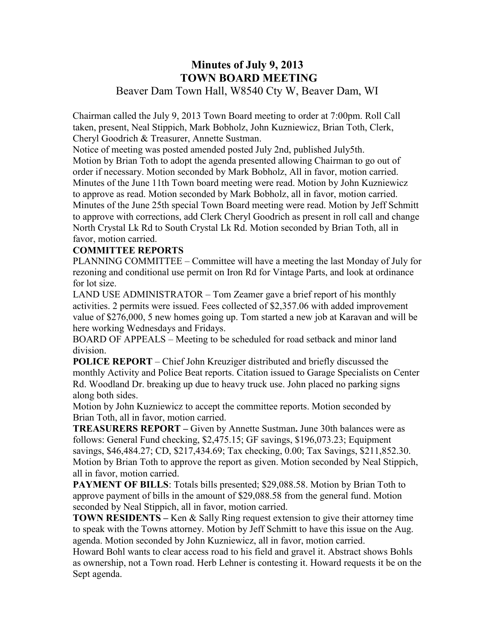# **Minutes of July 9, 2013 TOWN BOARD MEETING**  Beaver Dam Town Hall, W8540 Cty W, Beaver Dam, WI

Chairman called the July 9, 2013 Town Board meeting to order at 7:00pm. Roll Call taken, present, Neal Stippich, Mark Bobholz, John Kuzniewicz, Brian Toth, Clerk, Cheryl Goodrich & Treasurer, Annette Sustman.

Notice of meeting was posted amended posted July 2nd, published July5th. Motion by Brian Toth to adopt the agenda presented allowing Chairman to go out of order if necessary. Motion seconded by Mark Bobholz, All in favor, motion carried. Minutes of the June 11th Town board meeting were read. Motion by John Kuzniewicz to approve as read. Motion seconded by Mark Bobholz, all in favor, motion carried. Minutes of the June 25th special Town Board meeting were read. Motion by Jeff Schmitt to approve with corrections, add Clerk Cheryl Goodrich as present in roll call and change North Crystal Lk Rd to South Crystal Lk Rd. Motion seconded by Brian Toth, all in favor, motion carried.

### **COMMITTEE REPORTS**

PLANNING COMMITTEE – Committee will have a meeting the last Monday of July for rezoning and conditional use permit on Iron Rd for Vintage Parts, and look at ordinance for lot size.

LAND USE ADMINISTRATOR – Tom Zeamer gave a brief report of his monthly activities. 2 permits were issued. Fees collected of \$2,357.06 with added improvement value of \$276,000, 5 new homes going up. Tom started a new job at Karavan and will be here working Wednesdays and Fridays.

BOARD OF APPEALS – Meeting to be scheduled for road setback and minor land division.

**POLICE REPORT** – Chief John Kreuziger distributed and briefly discussed the monthly Activity and Police Beat reports. Citation issued to Garage Specialists on Center Rd. Woodland Dr. breaking up due to heavy truck use. John placed no parking signs along both sides.

Motion by John Kuzniewicz to accept the committee reports. Motion seconded by Brian Toth, all in favor, motion carried.

**TREASURERS REPORT –** Given by Annette Sustman**.** June 30th balances were as follows: General Fund checking, \$2,475.15; GF savings, \$196,073.23; Equipment savings, \$46,484.27; CD, \$217,434.69; Tax checking, 0.00; Tax Savings, \$211,852.30. Motion by Brian Toth to approve the report as given. Motion seconded by Neal Stippich, all in favor, motion carried.

**PAYMENT OF BILLS:** Totals bills presented; \$29,088.58. Motion by Brian Toth to approve payment of bills in the amount of \$29,088.58 from the general fund. Motion seconded by Neal Stippich, all in favor, motion carried.

**TOWN RESIDENTS** – Ken & Sally Ring request extension to give their attorney time to speak with the Towns attorney. Motion by Jeff Schmitt to have this issue on the Aug. agenda. Motion seconded by John Kuzniewicz, all in favor, motion carried.

Howard Bohl wants to clear access road to his field and gravel it. Abstract shows Bohls as ownership, not a Town road. Herb Lehner is contesting it. Howard requests it be on the Sept agenda.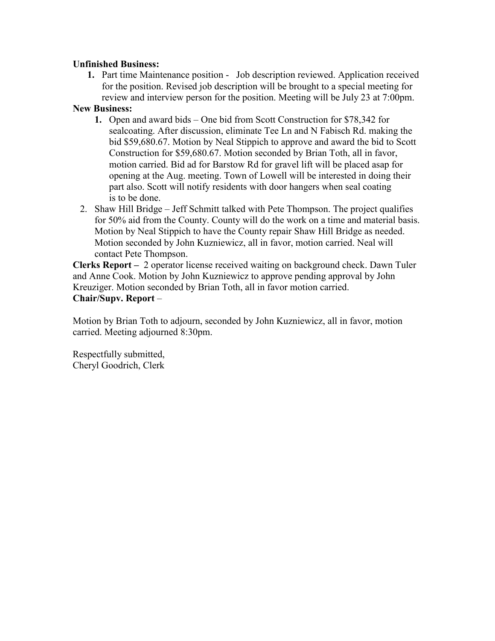### **Unfinished Business:**

**1.** Part time Maintenance position - Job description reviewed. Application received for the position. Revised job description will be brought to a special meeting for review and interview person for the position. Meeting will be July 23 at 7:00pm.

### **New Business:**

- **1.** Open and award bids One bid from Scott Construction for \$78,342 for sealcoating. After discussion, eliminate Tee Ln and N Fabisch Rd. making the bid \$59,680.67. Motion by Neal Stippich to approve and award the bid to Scott Construction for \$59,680.67. Motion seconded by Brian Toth, all in favor, motion carried. Bid ad for Barstow Rd for gravel lift will be placed asap for opening at the Aug. meeting. Town of Lowell will be interested in doing their part also. Scott will notify residents with door hangers when seal coating is to be done.
- 2. Shaw Hill Bridge Jeff Schmitt talked with Pete Thompson. The project qualifies for 50% aid from the County. County will do the work on a time and material basis. Motion by Neal Stippich to have the County repair Shaw Hill Bridge as needed. Motion seconded by John Kuzniewicz, all in favor, motion carried. Neal will contact Pete Thompson.

**Clerks Report –** 2 operator license received waiting on background check. Dawn Tuler and Anne Cook. Motion by John Kuzniewicz to approve pending approval by John Kreuziger. Motion seconded by Brian Toth, all in favor motion carried. **Chair/Supv. Report** –

Motion by Brian Toth to adjourn, seconded by John Kuzniewicz, all in favor, motion carried. Meeting adjourned 8:30pm.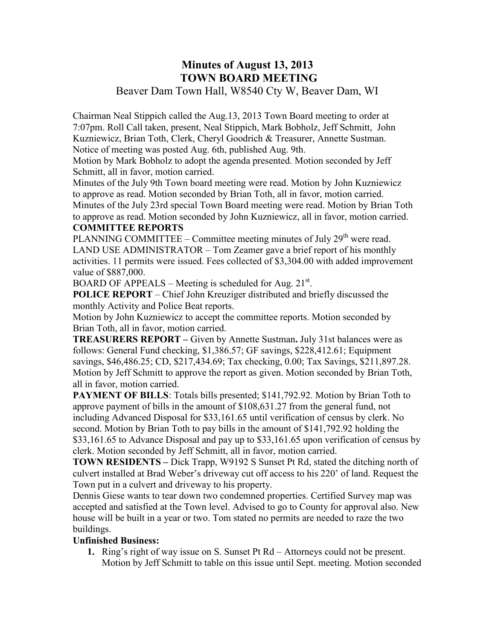# **Minutes of August 13, 2013 TOWN BOARD MEETING**

Beaver Dam Town Hall, W8540 Cty W, Beaver Dam, WI

Chairman Neal Stippich called the Aug.13, 2013 Town Board meeting to order at 7:07pm. Roll Call taken, present, Neal Stippich, Mark Bobholz, Jeff Schmitt, John Kuzniewicz, Brian Toth, Clerk, Cheryl Goodrich & Treasurer, Annette Sustman. Notice of meeting was posted Aug. 6th, published Aug. 9th.

Motion by Mark Bobholz to adopt the agenda presented. Motion seconded by Jeff Schmitt, all in favor, motion carried.

Minutes of the July 9th Town board meeting were read. Motion by John Kuzniewicz to approve as read. Motion seconded by Brian Toth, all in favor, motion carried.

Minutes of the July 23rd special Town Board meeting were read. Motion by Brian Toth to approve as read. Motion seconded by John Kuzniewicz, all in favor, motion carried. **COMMITTEE REPORTS**

PLANNING COMMITTEE – Committee meeting minutes of July  $29<sup>th</sup>$  were read. LAND USE ADMINISTRATOR – Tom Zeamer gave a brief report of his monthly activities. 11 permits were issued. Fees collected of \$3,304.00 with added improvement value of \$887,000.

BOARD OF APPEALS – Meeting is scheduled for Aug.  $21^{st}$ .

**POLICE REPORT** – Chief John Kreuziger distributed and briefly discussed the monthly Activity and Police Beat reports.

Motion by John Kuzniewicz to accept the committee reports. Motion seconded by Brian Toth, all in favor, motion carried.

**TREASURERS REPORT –** Given by Annette Sustman**.** July 31st balances were as follows: General Fund checking, \$1,386.57; GF savings, \$228,412.61; Equipment savings, \$46,486.25; CD, \$217,434.69; Tax checking, 0.00; Tax Savings, \$211,897.28. Motion by Jeff Schmitt to approve the report as given. Motion seconded by Brian Toth, all in favor, motion carried.

**PAYMENT OF BILLS:** Totals bills presented; \$141,792.92. Motion by Brian Toth to approve payment of bills in the amount of \$108,631.27 from the general fund, not including Advanced Disposal for \$33,161.65 until verification of census by clerk. No second. Motion by Brian Toth to pay bills in the amount of \$141,792.92 holding the \$33,161.65 to Advance Disposal and pay up to \$33,161.65 upon verification of census by clerk. Motion seconded by Jeff Schmitt, all in favor, motion carried.

**TOWN RESIDENTS –** Dick Trapp, W9192 S Sunset Pt Rd, stated the ditching north of culvert installed at Brad Weber's driveway cut off access to his 220' of land. Request the Town put in a culvert and driveway to his property.

Dennis Giese wants to tear down two condemned properties. Certified Survey map was accepted and satisfied at the Town level. Advised to go to County for approval also. New house will be built in a year or two. Tom stated no permits are needed to raze the two buildings.

## **Unfinished Business:**

**1.** Ring's right of way issue on S. Sunset Pt Rd – Attorneys could not be present. Motion by Jeff Schmitt to table on this issue until Sept. meeting. Motion seconded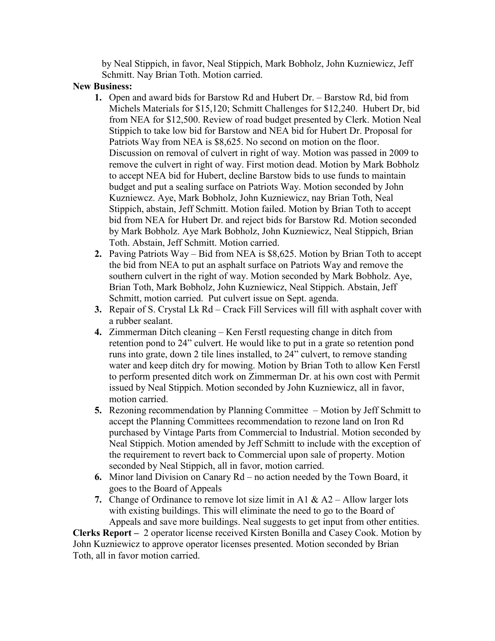by Neal Stippich, in favor, Neal Stippich, Mark Bobholz, John Kuzniewicz, Jeff Schmitt. Nay Brian Toth. Motion carried.

### **New Business:**

- **1.** Open and award bids for Barstow Rd and Hubert Dr. Barstow Rd, bid from Michels Materials for \$15,120; Schmitt Challenges for \$12,240. Hubert Dr, bid from NEA for \$12,500. Review of road budget presented by Clerk. Motion Neal Stippich to take low bid for Barstow and NEA bid for Hubert Dr. Proposal for Patriots Way from NEA is \$8,625. No second on motion on the floor. Discussion on removal of culvert in right of way. Motion was passed in 2009 to remove the culvert in right of way. First motion dead. Motion by Mark Bobholz to accept NEA bid for Hubert, decline Barstow bids to use funds to maintain budget and put a sealing surface on Patriots Way. Motion seconded by John Kuzniewcz. Aye, Mark Bobholz, John Kuzniewicz, nay Brian Toth, Neal Stippich, abstain, Jeff Schmitt. Motion failed. Motion by Brian Toth to accept bid from NEA for Hubert Dr. and reject bids for Barstow Rd. Motion seconded by Mark Bobholz. Aye Mark Bobholz, John Kuzniewicz, Neal Stippich, Brian Toth. Abstain, Jeff Schmitt. Motion carried.
- **2.** Paving Patriots Way Bid from NEA is \$8,625. Motion by Brian Toth to accept the bid from NEA to put an asphalt surface on Patriots Way and remove the southern culvert in the right of way. Motion seconded by Mark Bobholz. Aye, Brian Toth, Mark Bobholz, John Kuzniewicz, Neal Stippich. Abstain, Jeff Schmitt, motion carried. Put culvert issue on Sept. agenda.
- **3.** Repair of S. Crystal Lk Rd Crack Fill Services will fill with asphalt cover with a rubber sealant.
- **4.** Zimmerman Ditch cleaning Ken Ferstl requesting change in ditch from retention pond to 24" culvert. He would like to put in a grate so retention pond runs into grate, down 2 tile lines installed, to 24" culvert, to remove standing water and keep ditch dry for mowing. Motion by Brian Toth to allow Ken Ferstl to perform presented ditch work on Zimmerman Dr. at his own cost with Permit issued by Neal Stippich. Motion seconded by John Kuzniewicz, all in favor, motion carried.
- **5.** Rezoning recommendation by Planning Committee Motion by Jeff Schmitt to accept the Planning Committees recommendation to rezone land on Iron Rd purchased by Vintage Parts from Commercial to Industrial. Motion seconded by Neal Stippich. Motion amended by Jeff Schmitt to include with the exception of the requirement to revert back to Commercial upon sale of property. Motion seconded by Neal Stippich, all in favor, motion carried.
- **6.** Minor land Division on Canary Rd no action needed by the Town Board, it goes to the Board of Appeals
- **7.** Change of Ordinance to remove lot size limit in A1 & A2 Allow larger lots with existing buildings. This will eliminate the need to go to the Board of Appeals and save more buildings. Neal suggests to get input from other entities.

**Clerks Report –** 2 operator license received Kirsten Bonilla and Casey Cook. Motion by John Kuzniewicz to approve operator licenses presented. Motion seconded by Brian Toth, all in favor motion carried.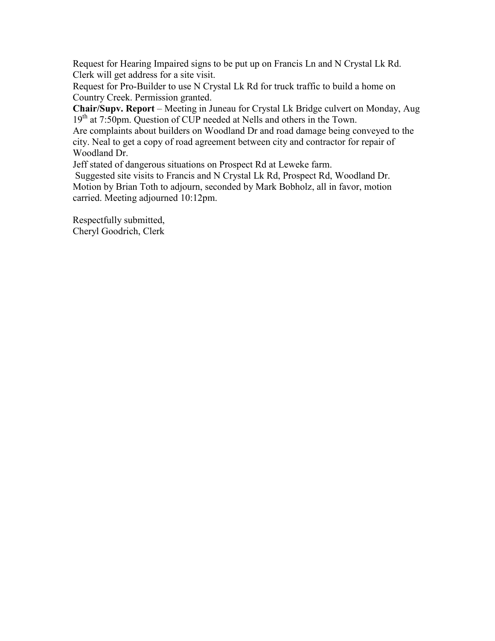Request for Hearing Impaired signs to be put up on Francis Ln and N Crystal Lk Rd. Clerk will get address for a site visit.

Request for Pro-Builder to use N Crystal Lk Rd for truck traffic to build a home on Country Creek. Permission granted.

**Chair/Supv. Report** – Meeting in Juneau for Crystal Lk Bridge culvert on Monday, Aug 19<sup>th</sup> at 7:50pm. Question of CUP needed at Nells and others in the Town.

Are complaints about builders on Woodland Dr and road damage being conveyed to the city. Neal to get a copy of road agreement between city and contractor for repair of Woodland Dr.

Jeff stated of dangerous situations on Prospect Rd at Leweke farm.

Suggested site visits to Francis and N Crystal Lk Rd, Prospect Rd, Woodland Dr. Motion by Brian Toth to adjourn, seconded by Mark Bobholz, all in favor, motion carried. Meeting adjourned 10:12pm.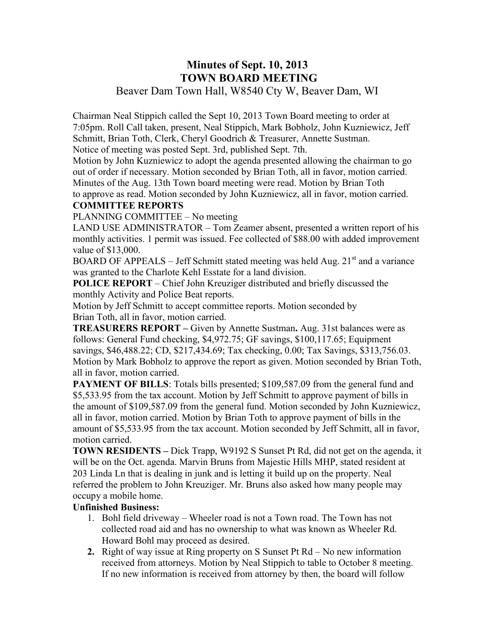# **Minutes of Sept. 10, 2013 TOWN BOARD MEETING**

Beaver Dam Town Hall, W8540 Cty W, Beaver Dam, WI

Chairman Neal Stippich called the Sept 10, 2013 Town Board meeting to order at 7:05pm. Roll Call taken, present, Neal Stippich, Mark Bobholz, John Kuzniewicz, Jeff Schmitt, Brian Toth, Clerk, Cheryl Goodrich & Treasurer, Annette Sustman. Notice of meeting was posted Sept. 3rd, published Sept. 7th.

Motion by John Kuzniewicz to adopt the agenda presented allowing the chairman to go out of order if necessary. Motion seconded by Brian Toth, all in favor, motion carried. Minutes of the Aug. 13th Town board meeting were read. Motion by Brian Toth to approve as read. Motion seconded by John Kuzniewicz, all in favor, motion carried.

## **COMMITTEE REPORTS**

PLANNING COMMITTEE – No meeting

LAND USE ADMINISTRATOR – Tom Zeamer absent, presented a written report of his monthly activities. 1 permit was issued. Fee collected of \$88.00 with added improvement value of \$13,000.

BOARD OF APPEALS – Jeff Schmitt stated meeting was held Aug.  $21<sup>st</sup>$  and a variance was granted to the Charlote Kehl Esstate for a land division.

**POLICE REPORT** – Chief John Kreuziger distributed and briefly discussed the monthly Activity and Police Beat reports.

Motion by Jeff Schmitt to accept committee reports. Motion seconded by Brian Toth, all in favor, motion carried.

**TREASURERS REPORT –** Given by Annette Sustman**.** Aug. 31st balances were as follows: General Fund checking, \$4,972.75; GF savings, \$100,117.65; Equipment savings, \$46,488.22; CD, \$217,434.69; Tax checking, 0.00; Tax Savings, \$313,756.03. Motion by Mark Bobholz to approve the report as given. Motion seconded by Brian Toth, all in favor, motion carried.

**PAYMENT OF BILLS:** Totals bills presented; \$109,587.09 from the general fund and \$5,533.95 from the tax account. Motion by Jeff Schmitt to approve payment of bills in the amount of \$109,587.09 from the general fund. Motion seconded by John Kuzniewicz, all in favor, motion carried. Motion by Brian Toth to approve payment of bills in the amount of \$5,533.95 from the tax account. Motion seconded by Jeff Schmitt, all in favor, motion carried.

**TOWN RESIDENTS –** Dick Trapp, W9192 S Sunset Pt Rd, did not get on the agenda, it will be on the Oct. agenda. Marvin Bruns from Majestic Hills MHP, stated resident at 203 Linda Ln that is dealing in junk and is letting it build up on the property. Neal referred the problem to John Kreuziger. Mr. Bruns also asked how many people may occupy a mobile home.

## **Unfinished Business:**

- 1. Bohl field driveway Wheeler road is not a Town road. The Town has not collected road aid and has no ownership to what was known as Wheeler Rd. Howard Bohl may proceed as desired.
- **2.** Right of way issue at Ring property on S Sunset Pt Rd No new information received from attorneys. Motion by Neal Stippich to table to October 8 meeting. If no new information is received from attorney by then, the board will follow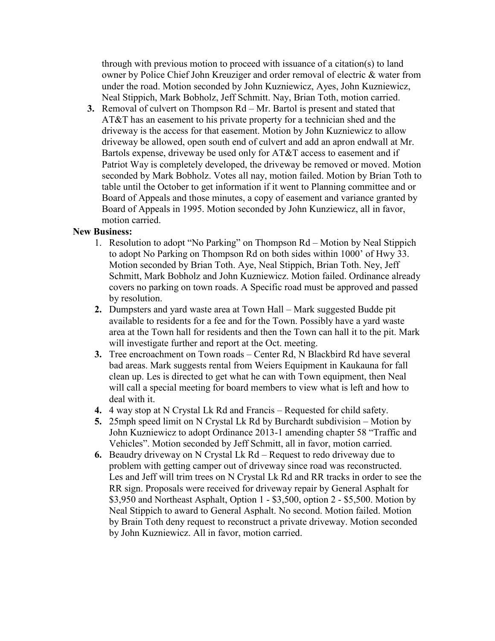through with previous motion to proceed with issuance of a citation(s) to land owner by Police Chief John Kreuziger and order removal of electric & water from under the road. Motion seconded by John Kuzniewicz, Ayes, John Kuzniewicz, Neal Stippich, Mark Bobholz, Jeff Schmitt. Nay, Brian Toth, motion carried.

**3.** Removal of culvert on Thompson Rd – Mr. Bartol is present and stated that AT&T has an easement to his private property for a technician shed and the driveway is the access for that easement. Motion by John Kuzniewicz to allow driveway be allowed, open south end of culvert and add an apron endwall at Mr. Bartols expense, driveway be used only for AT&T access to easement and if Patriot Way is completely developed, the driveway be removed or moved. Motion seconded by Mark Bobholz. Votes all nay, motion failed. Motion by Brian Toth to table until the October to get information if it went to Planning committee and or Board of Appeals and those minutes, a copy of easement and variance granted by Board of Appeals in 1995. Motion seconded by John Kunziewicz, all in favor, motion carried.

### **New Business:**

- 1. Resolution to adopt "No Parking" on Thompson Rd Motion by Neal Stippich to adopt No Parking on Thompson Rd on both sides within 1000' of Hwy 33. Motion seconded by Brian Toth. Aye, Neal Stippich, Brian Toth. Ney, Jeff Schmitt, Mark Bobholz and John Kuzniewicz. Motion failed. Ordinance already covers no parking on town roads. A Specific road must be approved and passed by resolution.
- **2.** Dumpsters and yard waste area at Town Hall Mark suggested Budde pit available to residents for a fee and for the Town. Possibly have a yard waste area at the Town hall for residents and then the Town can hall it to the pit. Mark will investigate further and report at the Oct. meeting.
- **3.** Tree encroachment on Town roads Center Rd, N Blackbird Rd have several bad areas. Mark suggests rental from Weiers Equipment in Kaukauna for fall clean up. Les is directed to get what he can with Town equipment, then Neal will call a special meeting for board members to view what is left and how to deal with it.
- **4.** 4 way stop at N Crystal Lk Rd and Francis Requested for child safety.
- **5.** 25mph speed limit on N Crystal Lk Rd by Burchardt subdivision Motion by John Kuzniewicz to adopt Ordinance 2013-1 amending chapter 58 "Traffic and Vehicles". Motion seconded by Jeff Schmitt, all in favor, motion carried.
- **6.** Beaudry driveway on N Crystal Lk Rd Request to redo driveway due to problem with getting camper out of driveway since road was reconstructed. Les and Jeff will trim trees on N Crystal Lk Rd and RR tracks in order to see the RR sign. Proposals were received for driveway repair by General Asphalt for \$3,950 and Northeast Asphalt, Option 1 - \$3,500, option 2 - \$5,500. Motion by Neal Stippich to award to General Asphalt. No second. Motion failed. Motion by Brain Toth deny request to reconstruct a private driveway. Motion seconded by John Kuzniewicz. All in favor, motion carried.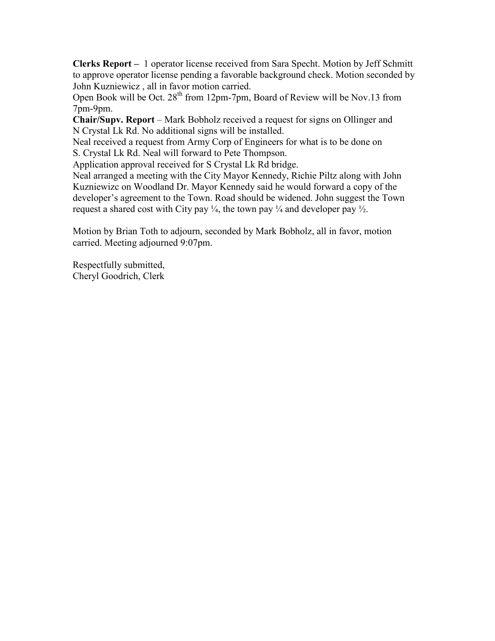**Clerks Report –** 1 operator license received from Sara Specht. Motion by Jeff Schmitt to approve operator license pending a favorable background check. Motion seconded by John Kuzniewicz , all in favor motion carried.

Open Book will be Oct. 28<sup>th</sup> from 12pm-7pm, Board of Review will be Nov.13 from 7pm-9pm.

**Chair/Supv. Report** – Mark Bobholz received a request for signs on Ollinger and N Crystal Lk Rd. No additional signs will be installed.

Neal received a request from Army Corp of Engineers for what is to be done on S. Crystal Lk Rd. Neal will forward to Pete Thompson.

Application approval received for S Crystal Lk Rd bridge.

Neal arranged a meeting with the City Mayor Kennedy, Richie Piltz along with John Kuzniewizc on Woodland Dr. Mayor Kennedy said he would forward a copy of the developer's agreement to the Town. Road should be widened. John suggest the Town request a shared cost with City pay  $\frac{1}{4}$ , the town pay  $\frac{1}{4}$  and developer pay  $\frac{1}{2}$ .

Motion by Brian Toth to adjourn, seconded by Mark Bobholz, all in favor, motion carried. Meeting adjourned 9:07pm.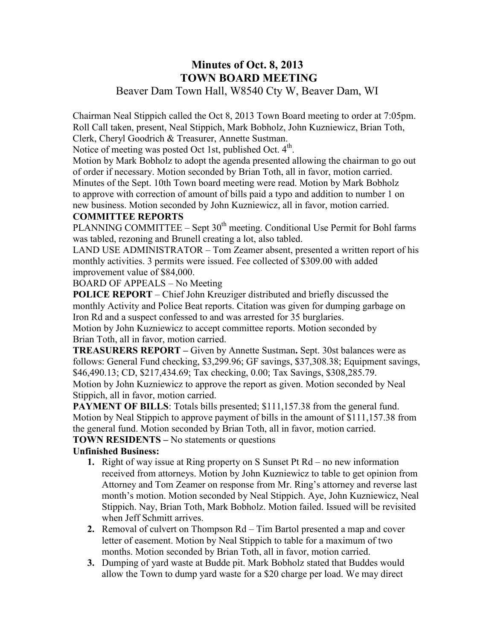## **Minutes of Oct. 8, 2013 TOWN BOARD MEETING**  Beaver Dam Town Hall, W8540 Cty W, Beaver Dam, WI

Chairman Neal Stippich called the Oct 8, 2013 Town Board meeting to order at 7:05pm. Roll Call taken, present, Neal Stippich, Mark Bobholz, John Kuzniewicz, Brian Toth, Clerk, Cheryl Goodrich & Treasurer, Annette Sustman.

Notice of meeting was posted Oct 1st, published Oct. 4<sup>th</sup>.

Motion by Mark Bobholz to adopt the agenda presented allowing the chairman to go out of order if necessary. Motion seconded by Brian Toth, all in favor, motion carried. Minutes of the Sept. 10th Town board meeting were read. Motion by Mark Bobholz to approve with correction of amount of bills paid a typo and addition to number 1 on new business. Motion seconded by John Kuzniewicz, all in favor, motion carried.

# **COMMITTEE REPORTS**

PLANNING COMMITTEE – Sept  $30<sup>th</sup>$  meeting. Conditional Use Permit for Bohl farms was tabled, rezoning and Brunell creating a lot, also tabled.

LAND USE ADMINISTRATOR – Tom Zeamer absent, presented a written report of his monthly activities. 3 permits were issued. Fee collected of \$309.00 with added improvement value of \$84,000.

BOARD OF APPEALS – No Meeting

**POLICE REPORT** – Chief John Kreuziger distributed and briefly discussed the monthly Activity and Police Beat reports. Citation was given for dumping garbage on Iron Rd and a suspect confessed to and was arrested for 35 burglaries.

Motion by John Kuzniewicz to accept committee reports. Motion seconded by Brian Toth, all in favor, motion carried.

**TREASURERS REPORT –** Given by Annette Sustman**.** Sept. 30st balances were as follows: General Fund checking, \$3,299.96; GF savings, \$37,308.38; Equipment savings, \$46,490.13; CD, \$217,434.69; Tax checking, 0.00; Tax Savings, \$308,285.79.

Motion by John Kuzniewicz to approve the report as given. Motion seconded by Neal Stippich, all in favor, motion carried.

**PAYMENT OF BILLS:** Totals bills presented; \$111,157.38 from the general fund. Motion by Neal Stippich to approve payment of bills in the amount of \$111,157.38 from the general fund. Motion seconded by Brian Toth, all in favor, motion carried.

### **TOWN RESIDENTS –** No statements or questions

### **Unfinished Business:**

- **1.** Right of way issue at Ring property on S Sunset Pt Rd no new information received from attorneys. Motion by John Kuzniewicz to table to get opinion from Attorney and Tom Zeamer on response from Mr. Ring's attorney and reverse last month's motion. Motion seconded by Neal Stippich. Aye, John Kuzniewicz, Neal Stippich. Nay, Brian Toth, Mark Bobholz. Motion failed. Issued will be revisited when Jeff Schmitt arrives.
- **2.** Removal of culvert on Thompson Rd Tim Bartol presented a map and cover letter of easement. Motion by Neal Stippich to table for a maximum of two months. Motion seconded by Brian Toth, all in favor, motion carried.
- **3.** Dumping of yard waste at Budde pit. Mark Bobholz stated that Buddes would allow the Town to dump yard waste for a \$20 charge per load. We may direct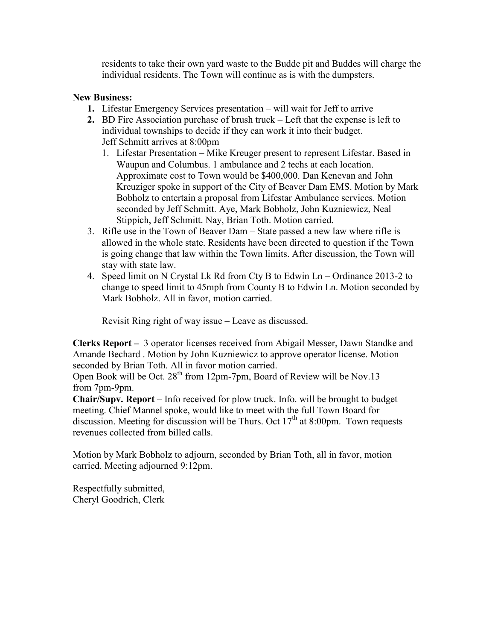residents to take their own yard waste to the Budde pit and Buddes will charge the individual residents. The Town will continue as is with the dumpsters.

### **New Business:**

- **1.** Lifestar Emergency Services presentation will wait for Jeff to arrive
- **2.** BD Fire Association purchase of brush truck Left that the expense is left to individual townships to decide if they can work it into their budget. Jeff Schmitt arrives at 8:00pm
	- 1. Lifestar Presentation Mike Kreuger present to represent Lifestar. Based in Waupun and Columbus. 1 ambulance and 2 techs at each location. Approximate cost to Town would be \$400,000. Dan Kenevan and John Kreuziger spoke in support of the City of Beaver Dam EMS. Motion by Mark Bobholz to entertain a proposal from Lifestar Ambulance services. Motion seconded by Jeff Schmitt. Aye, Mark Bobholz, John Kuzniewicz, Neal Stippich, Jeff Schmitt. Nay, Brian Toth. Motion carried.
- 3. Rifle use in the Town of Beaver Dam State passed a new law where rifle is allowed in the whole state. Residents have been directed to question if the Town is going change that law within the Town limits. After discussion, the Town will stay with state law.
- 4. Speed limit on N Crystal Lk Rd from Cty B to Edwin Ln Ordinance 2013-2 to change to speed limit to 45mph from County B to Edwin Ln. Motion seconded by Mark Bobholz. All in favor, motion carried.

Revisit Ring right of way issue – Leave as discussed.

**Clerks Report –** 3 operator licenses received from Abigail Messer, Dawn Standke and Amande Bechard . Motion by John Kuzniewicz to approve operator license. Motion seconded by Brian Toth. All in favor motion carried.

Open Book will be Oct.  $28^{th}$  from 12pm-7pm, Board of Review will be Nov.13 from 7pm-9pm.

**Chair/Supv. Report** – Info received for plow truck. Info. will be brought to budget meeting. Chief Mannel spoke, would like to meet with the full Town Board for discussion. Meeting for discussion will be Thurs. Oct  $17<sup>th</sup>$  at 8:00pm. Town requests revenues collected from billed calls.

Motion by Mark Bobholz to adjourn, seconded by Brian Toth, all in favor, motion carried. Meeting adjourned 9:12pm.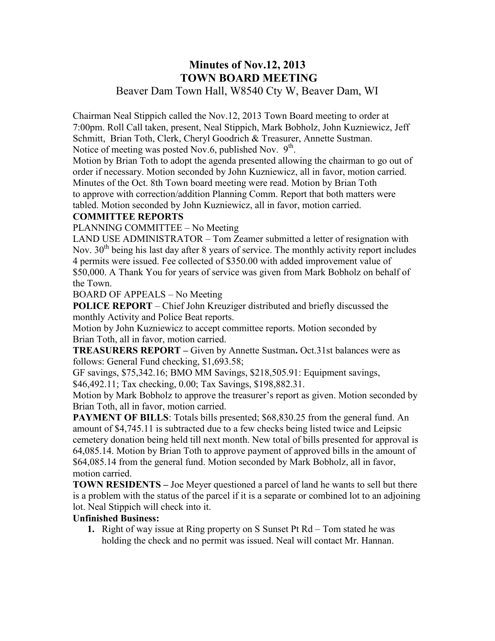## **Minutes of Nov.12, 2013 TOWN BOARD MEETING**  Beaver Dam Town Hall, W8540 Cty W, Beaver Dam, WI

Chairman Neal Stippich called the Nov.12, 2013 Town Board meeting to order at 7:00pm. Roll Call taken, present, Neal Stippich, Mark Bobholz, John Kuzniewicz, Jeff Schmitt, Brian Toth, Clerk, Cheryl Goodrich & Treasurer, Annette Sustman. Notice of meeting was posted Nov.6, published Nov.  $9<sup>th</sup>$ .

Motion by Brian Toth to adopt the agenda presented allowing the chairman to go out of order if necessary. Motion seconded by John Kuzniewicz, all in favor, motion carried. Minutes of the Oct. 8th Town board meeting were read. Motion by Brian Toth to approve with correction/addition Planning Comm. Report that both matters were tabled. Motion seconded by John Kuzniewicz, all in favor, motion carried.

### **COMMITTEE REPORTS**

PLANNING COMMITTEE – No Meeting

LAND USE ADMINISTRATOR – Tom Zeamer submitted a letter of resignation with Nov. 30<sup>th</sup> being his last day after 8 years of service. The monthly activity report includes 4 permits were issued. Fee collected of \$350.00 with added improvement value of \$50,000. A Thank You for years of service was given from Mark Bobholz on behalf of the Town.

BOARD OF APPEALS – No Meeting

**POLICE REPORT** – Chief John Kreuziger distributed and briefly discussed the monthly Activity and Police Beat reports.

Motion by John Kuzniewicz to accept committee reports. Motion seconded by Brian Toth, all in favor, motion carried.

**TREASURERS REPORT –** Given by Annette Sustman**.** Oct.31st balances were as follows: General Fund checking, \$1,693.58;

GF savings, \$75,342.16; BMO MM Savings, \$218,505.91: Equipment savings, \$46,492.11; Tax checking, 0.00; Tax Savings, \$198,882.31.

Motion by Mark Bobholz to approve the treasurer's report as given. Motion seconded by Brian Toth, all in favor, motion carried.

**PAYMENT OF BILLS:** Totals bills presented; \$68,830.25 from the general fund. An amount of \$4,745.11 is subtracted due to a few checks being listed twice and Leipsic cemetery donation being held till next month. New total of bills presented for approval is 64,085.14. Motion by Brian Toth to approve payment of approved bills in the amount of \$64,085.14 from the general fund. Motion seconded by Mark Bobholz, all in favor, motion carried.

**TOWN RESIDENTS –** Joe Meyer questioned a parcel of land he wants to sell but there is a problem with the status of the parcel if it is a separate or combined lot to an adjoining lot. Neal Stippich will check into it.

### **Unfinished Business:**

**1.** Right of way issue at Ring property on S Sunset Pt Rd – Tom stated he was holding the check and no permit was issued. Neal will contact Mr. Hannan.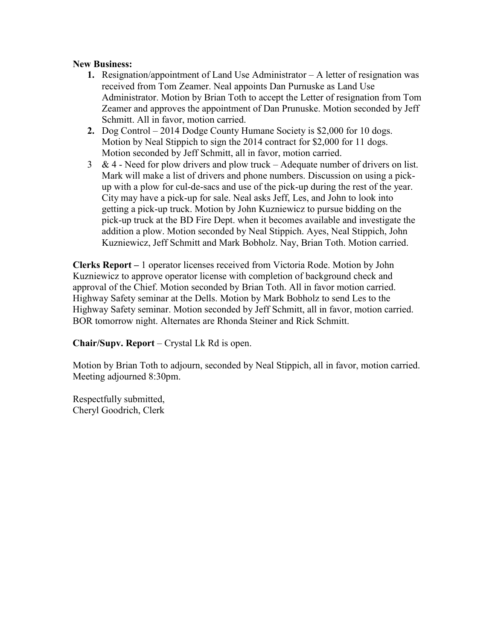### **New Business:**

- **1.** Resignation/appointment of Land Use Administrator A letter of resignation was received from Tom Zeamer. Neal appoints Dan Purnuske as Land Use Administrator. Motion by Brian Toth to accept the Letter of resignation from Tom Zeamer and approves the appointment of Dan Prunuske. Motion seconded by Jeff Schmitt. All in favor, motion carried.
- **2.** Dog Control 2014 Dodge County Humane Society is \$2,000 for 10 dogs. Motion by Neal Stippich to sign the 2014 contract for \$2,000 for 11 dogs. Motion seconded by Jeff Schmitt, all in favor, motion carried.
- $3 \& 4$  Need for plow drivers and plow truck Adequate number of drivers on list. Mark will make a list of drivers and phone numbers. Discussion on using a pickup with a plow for cul-de-sacs and use of the pick-up during the rest of the year. City may have a pick-up for sale. Neal asks Jeff, Les, and John to look into getting a pick-up truck. Motion by John Kuzniewicz to pursue bidding on the pick-up truck at the BD Fire Dept. when it becomes available and investigate the addition a plow. Motion seconded by Neal Stippich. Ayes, Neal Stippich, John Kuzniewicz, Jeff Schmitt and Mark Bobholz. Nay, Brian Toth. Motion carried.

**Clerks Report –** 1 operator licenses received from Victoria Rode. Motion by John Kuzniewicz to approve operator license with completion of background check and approval of the Chief. Motion seconded by Brian Toth. All in favor motion carried. Highway Safety seminar at the Dells. Motion by Mark Bobholz to send Les to the Highway Safety seminar. Motion seconded by Jeff Schmitt, all in favor, motion carried. BOR tomorrow night. Alternates are Rhonda Steiner and Rick Schmitt.

**Chair/Supv. Report** – Crystal Lk Rd is open.

Motion by Brian Toth to adjourn, seconded by Neal Stippich, all in favor, motion carried. Meeting adjourned 8:30pm.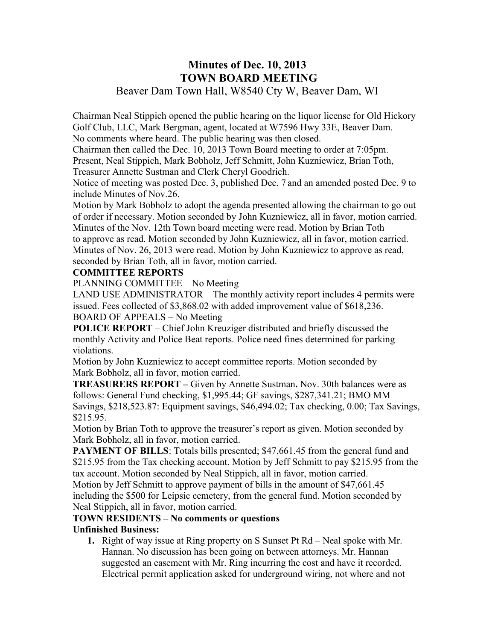## **Minutes of Dec. 10, 2013 TOWN BOARD MEETING**  Beaver Dam Town Hall, W8540 Cty W, Beaver Dam, WI

Chairman Neal Stippich opened the public hearing on the liquor license for Old Hickory Golf Club, LLC, Mark Bergman, agent, located at W7596 Hwy 33E, Beaver Dam. No comments where heard. The public hearing was then closed.

Chairman then called the Dec. 10, 2013 Town Board meeting to order at 7:05pm. Present, Neal Stippich, Mark Bobholz, Jeff Schmitt, John Kuzniewicz, Brian Toth, Treasurer Annette Sustman and Clerk Cheryl Goodrich.

Notice of meeting was posted Dec. 3, published Dec. 7 and an amended posted Dec. 9 to include Minutes of Nov.26.

Motion by Mark Bobholz to adopt the agenda presented allowing the chairman to go out of order if necessary. Motion seconded by John Kuzniewicz, all in favor, motion carried. Minutes of the Nov. 12th Town board meeting were read. Motion by Brian Toth to approve as read. Motion seconded by John Kuzniewicz, all in favor, motion carried. Minutes of Nov. 26, 2013 were read. Motion by John Kuzniewicz to approve as read, seconded by Brian Toth, all in favor, motion carried.

### **COMMITTEE REPORTS**

PLANNING COMMITTEE – No Meeting

LAND USE ADMINISTRATOR – The monthly activity report includes 4 permits were issued. Fees collected of \$3,868.02 with added improvement value of \$618,236. BOARD OF APPEALS – No Meeting

**POLICE REPORT** – Chief John Kreuziger distributed and briefly discussed the monthly Activity and Police Beat reports. Police need fines determined for parking violations.

Motion by John Kuzniewicz to accept committee reports. Motion seconded by Mark Bobholz, all in favor, motion carried.

**TREASURERS REPORT –** Given by Annette Sustman**.** Nov. 30th balances were as follows: General Fund checking, \$1,995.44; GF savings, \$287,341.21; BMO MM Savings, \$218,523.87: Equipment savings, \$46,494.02; Tax checking, 0.00; Tax Savings, \$215.95.

Motion by Brian Toth to approve the treasurer's report as given. Motion seconded by Mark Bobholz, all in favor, motion carried.

**PAYMENT OF BILLS:** Totals bills presented; \$47,661.45 from the general fund and \$215.95 from the Tax checking account. Motion by Jeff Schmitt to pay \$215.95 from the tax account. Motion seconded by Neal Stippich, all in favor, motion carried.

Motion by Jeff Schmitt to approve payment of bills in the amount of \$47,661.45 including the \$500 for Leipsic cemetery, from the general fund. Motion seconded by Neal Stippich, all in favor, motion carried.

#### **TOWN RESIDENTS – No comments or questions Unfinished Business:**

## **1.** Right of way issue at Ring property on S Sunset Pt Rd – Neal spoke with Mr. Hannan. No discussion has been going on between attorneys. Mr. Hannan suggested an easement with Mr. Ring incurring the cost and have it recorded. Electrical permit application asked for underground wiring, not where and not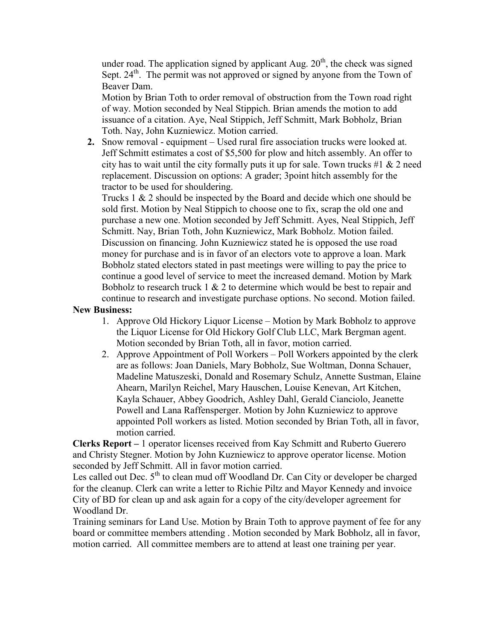under road. The application signed by applicant Aug.  $20<sup>th</sup>$ , the check was signed Sept. 24<sup>th</sup>. The permit was not approved or signed by anyone from the Town of Beaver Dam.

Motion by Brian Toth to order removal of obstruction from the Town road right of way. Motion seconded by Neal Stippich. Brian amends the motion to add issuance of a citation. Aye, Neal Stippich, Jeff Schmitt, Mark Bobholz, Brian Toth. Nay, John Kuzniewicz. Motion carried.

**2.** Snow removal - equipment – Used rural fire association trucks were looked at. Jeff Schmitt estimates a cost of \$5,500 for plow and hitch assembly. An offer to city has to wait until the city formally puts it up for sale. Town trucks  $\#1 \& 2$  need replacement. Discussion on options: A grader; 3point hitch assembly for the tractor to be used for shouldering.

Trucks 1 & 2 should be inspected by the Board and decide which one should be sold first. Motion by Neal Stippich to choose one to fix, scrap the old one and purchase a new one. Motion seconded by Jeff Schmitt. Ayes, Neal Stippich, Jeff Schmitt. Nay, Brian Toth, John Kuzniewicz, Mark Bobholz. Motion failed. Discussion on financing. John Kuzniewicz stated he is opposed the use road money for purchase and is in favor of an electors vote to approve a loan. Mark Bobholz stated electors stated in past meetings were willing to pay the price to continue a good level of service to meet the increased demand. Motion by Mark Bobholz to research truck  $1 \& 2$  to determine which would be best to repair and continue to research and investigate purchase options. No second. Motion failed.

### **New Business:**

- 1. Approve Old Hickory Liquor License Motion by Mark Bobholz to approve the Liquor License for Old Hickory Golf Club LLC, Mark Bergman agent. Motion seconded by Brian Toth, all in favor, motion carried.
- 2. Approve Appointment of Poll Workers Poll Workers appointed by the clerk are as follows: Joan Daniels, Mary Bobholz, Sue Woltman, Donna Schauer, Madeline Matuszeski, Donald and Rosemary Schulz, Annette Sustman, Elaine Ahearn, Marilyn Reichel, Mary Hauschen, Louise Kenevan, Art Kitchen, Kayla Schauer, Abbey Goodrich, Ashley Dahl, Gerald Cianciolo, Jeanette Powell and Lana Raffensperger. Motion by John Kuzniewicz to approve appointed Poll workers as listed. Motion seconded by Brian Toth, all in favor, motion carried.

**Clerks Report –** 1 operator licenses received from Kay Schmitt and Ruberto Guerero and Christy Stegner. Motion by John Kuzniewicz to approve operator license. Motion seconded by Jeff Schmitt. All in favor motion carried.

Les called out Dec.  $5<sup>th</sup>$  to clean mud off Woodland Dr. Can City or developer be charged for the cleanup. Clerk can write a letter to Richie Piltz and Mayor Kennedy and invoice City of BD for clean up and ask again for a copy of the city/developer agreement for Woodland Dr.

Training seminars for Land Use. Motion by Brain Toth to approve payment of fee for any board or committee members attending . Motion seconded by Mark Bobholz, all in favor, motion carried. All committee members are to attend at least one training per year.